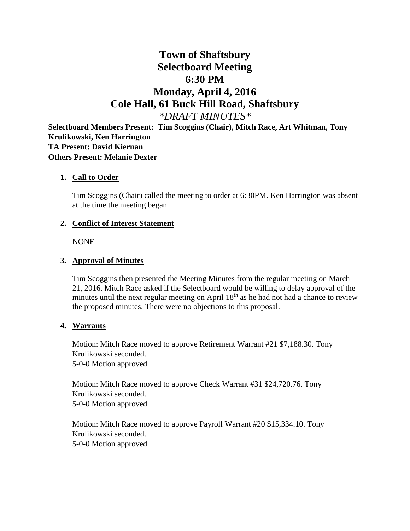# **Town of Shaftsbury Selectboard Meeting 6:30 PM Monday, April 4, 2016 Cole Hall, 61 Buck Hill Road, Shaftsbury** *\*DRAFT MINUTES\**

**Selectboard Members Present: Tim Scoggins (Chair), Mitch Race, Art Whitman, Tony Krulikowski, Ken Harrington TA Present: David Kiernan Others Present: Melanie Dexter**

#### **1. Call to Order**

Tim Scoggins (Chair) called the meeting to order at 6:30PM. Ken Harrington was absent at the time the meeting began.

#### **2. Conflict of Interest Statement**

NONE

#### **3. Approval of Minutes**

Tim Scoggins then presented the Meeting Minutes from the regular meeting on March 21, 2016. Mitch Race asked if the Selectboard would be willing to delay approval of the minutes until the next regular meeting on April  $18<sup>th</sup>$  as he had not had a chance to review the proposed minutes. There were no objections to this proposal.

#### **4. Warrants**

Motion: Mitch Race moved to approve Retirement Warrant #21 \$7,188.30. Tony Krulikowski seconded. 5-0-0 Motion approved.

Motion: Mitch Race moved to approve Check Warrant #31 \$24,720.76. Tony Krulikowski seconded. 5-0-0 Motion approved.

Motion: Mitch Race moved to approve Payroll Warrant #20 \$15,334.10. Tony Krulikowski seconded. 5-0-0 Motion approved.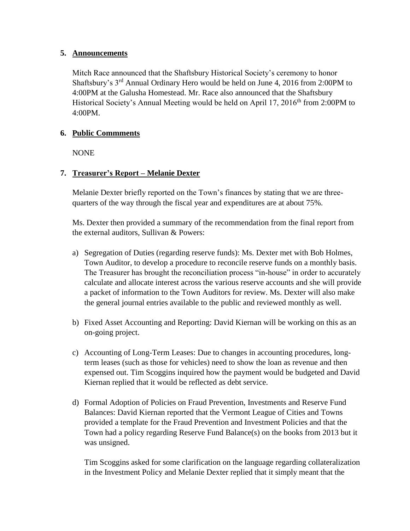## **5. Announcements**

Mitch Race announced that the Shaftsbury Historical Society's ceremony to honor Shaftsbury's 3rd Annual Ordinary Hero would be held on June 4, 2016 from 2:00PM to 4:00PM at the Galusha Homestead. Mr. Race also announced that the Shaftsbury Historical Society's Annual Meeting would be held on April 17, 2016<sup>th</sup> from 2:00PM to 4:00PM.

## **6. Public Commments**

NONE

## **7. Treasurer's Report – Melanie Dexter**

Melanie Dexter briefly reported on the Town's finances by stating that we are threequarters of the way through the fiscal year and expenditures are at about 75%.

Ms. Dexter then provided a summary of the recommendation from the final report from the external auditors, Sullivan & Powers:

- a) Segregation of Duties (regarding reserve funds): Ms. Dexter met with Bob Holmes, Town Auditor, to develop a procedure to reconcile reserve funds on a monthly basis. The Treasurer has brought the reconciliation process "in-house" in order to accurately calculate and allocate interest across the various reserve accounts and she will provide a packet of information to the Town Auditors for review. Ms. Dexter will also make the general journal entries available to the public and reviewed monthly as well.
- b) Fixed Asset Accounting and Reporting: David Kiernan will be working on this as an on-going project.
- c) Accounting of Long-Term Leases: Due to changes in accounting procedures, longterm leases (such as those for vehicles) need to show the loan as revenue and then expensed out. Tim Scoggins inquired how the payment would be budgeted and David Kiernan replied that it would be reflected as debt service.
- d) Formal Adoption of Policies on Fraud Prevention, Investments and Reserve Fund Balances: David Kiernan reported that the Vermont League of Cities and Towns provided a template for the Fraud Prevention and Investment Policies and that the Town had a policy regarding Reserve Fund Balance(s) on the books from 2013 but it was unsigned.

Tim Scoggins asked for some clarification on the language regarding collateralization in the Investment Policy and Melanie Dexter replied that it simply meant that the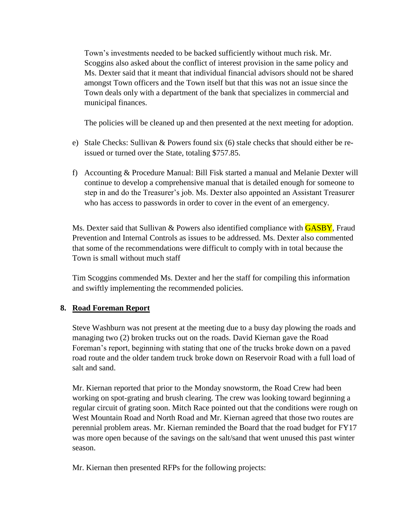Town's investments needed to be backed sufficiently without much risk. Mr. Scoggins also asked about the conflict of interest provision in the same policy and Ms. Dexter said that it meant that individual financial advisors should not be shared amongst Town officers and the Town itself but that this was not an issue since the Town deals only with a department of the bank that specializes in commercial and municipal finances.

The policies will be cleaned up and then presented at the next meeting for adoption.

- e) Stale Checks: Sullivan & Powers found six (6) stale checks that should either be reissued or turned over the State, totaling \$757.85.
- f) Accounting & Procedure Manual: Bill Fisk started a manual and Melanie Dexter will continue to develop a comprehensive manual that is detailed enough for someone to step in and do the Treasurer's job. Ms. Dexter also appointed an Assistant Treasurer who has access to passwords in order to cover in the event of an emergency.

Ms. Dexter said that Sullivan & Powers also identified compliance with **GASBY**, Fraud Prevention and Internal Controls as issues to be addressed. Ms. Dexter also commented that some of the recommendations were difficult to comply with in total because the Town is small without much staff

Tim Scoggins commended Ms. Dexter and her the staff for compiling this information and swiftly implementing the recommended policies.

# **8. Road Foreman Report**

Steve Washburn was not present at the meeting due to a busy day plowing the roads and managing two (2) broken trucks out on the roads. David Kiernan gave the Road Foreman's report, beginning with stating that one of the trucks broke down on a paved road route and the older tandem truck broke down on Reservoir Road with a full load of salt and sand.

Mr. Kiernan reported that prior to the Monday snowstorm, the Road Crew had been working on spot-grating and brush clearing. The crew was looking toward beginning a regular circuit of grating soon. Mitch Race pointed out that the conditions were rough on West Mountain Road and North Road and Mr. Kiernan agreed that those two routes are perennial problem areas. Mr. Kiernan reminded the Board that the road budget for FY17 was more open because of the savings on the salt/sand that went unused this past winter season.

Mr. Kiernan then presented RFPs for the following projects: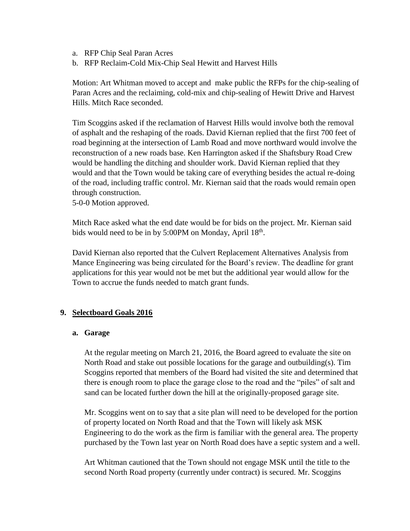- a. RFP Chip Seal Paran Acres
- b. RFP Reclaim-Cold Mix-Chip Seal Hewitt and Harvest Hills

Motion: Art Whitman moved to accept and make public the RFPs for the chip-sealing of Paran Acres and the reclaiming, cold-mix and chip-sealing of Hewitt Drive and Harvest Hills. Mitch Race seconded.

Tim Scoggins asked if the reclamation of Harvest Hills would involve both the removal of asphalt and the reshaping of the roads. David Kiernan replied that the first 700 feet of road beginning at the intersection of Lamb Road and move northward would involve the reconstruction of a new roads base. Ken Harrington asked if the Shaftsbury Road Crew would be handling the ditching and shoulder work. David Kiernan replied that they would and that the Town would be taking care of everything besides the actual re-doing of the road, including traffic control. Mr. Kiernan said that the roads would remain open through construction.

5-0-0 Motion approved.

Mitch Race asked what the end date would be for bids on the project. Mr. Kiernan said bids would need to be in by 5:00PM on Monday, April 18<sup>th</sup>.

David Kiernan also reported that the Culvert Replacement Alternatives Analysis from Mance Engineering was being circulated for the Board's review. The deadline for grant applications for this year would not be met but the additional year would allow for the Town to accrue the funds needed to match grant funds.

#### **9. Selectboard Goals 2016**

#### **a. Garage**

At the regular meeting on March 21, 2016, the Board agreed to evaluate the site on North Road and stake out possible locations for the garage and outbuilding(s). Tim Scoggins reported that members of the Board had visited the site and determined that there is enough room to place the garage close to the road and the "piles" of salt and sand can be located further down the hill at the originally-proposed garage site.

Mr. Scoggins went on to say that a site plan will need to be developed for the portion of property located on North Road and that the Town will likely ask MSK Engineering to do the work as the firm is familiar with the general area. The property purchased by the Town last year on North Road does have a septic system and a well.

Art Whitman cautioned that the Town should not engage MSK until the title to the second North Road property (currently under contract) is secured. Mr. Scoggins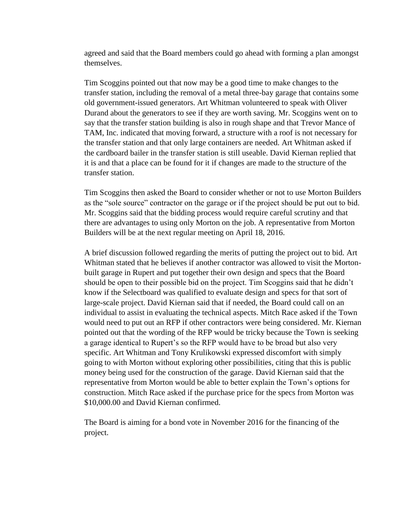agreed and said that the Board members could go ahead with forming a plan amongst themselves.

Tim Scoggins pointed out that now may be a good time to make changes to the transfer station, including the removal of a metal three-bay garage that contains some old government-issued generators. Art Whitman volunteered to speak with Oliver Durand about the generators to see if they are worth saving. Mr. Scoggins went on to say that the transfer station building is also in rough shape and that Trevor Mance of TAM, Inc. indicated that moving forward, a structure with a roof is not necessary for the transfer station and that only large containers are needed. Art Whitman asked if the cardboard bailer in the transfer station is still useable. David Kiernan replied that it is and that a place can be found for it if changes are made to the structure of the transfer station.

Tim Scoggins then asked the Board to consider whether or not to use Morton Builders as the "sole source" contractor on the garage or if the project should be put out to bid. Mr. Scoggins said that the bidding process would require careful scrutiny and that there are advantages to using only Morton on the job. A representative from Morton Builders will be at the next regular meeting on April 18, 2016.

A brief discussion followed regarding the merits of putting the project out to bid. Art Whitman stated that he believes if another contractor was allowed to visit the Mortonbuilt garage in Rupert and put together their own design and specs that the Board should be open to their possible bid on the project. Tim Scoggins said that he didn't know if the Selectboard was qualified to evaluate design and specs for that sort of large-scale project. David Kiernan said that if needed, the Board could call on an individual to assist in evaluating the technical aspects. Mitch Race asked if the Town would need to put out an RFP if other contractors were being considered. Mr. Kiernan pointed out that the wording of the RFP would be tricky because the Town is seeking a garage identical to Rupert's so the RFP would have to be broad but also very specific. Art Whitman and Tony Krulikowski expressed discomfort with simply going to with Morton without exploring other possibilities, citing that this is public money being used for the construction of the garage. David Kiernan said that the representative from Morton would be able to better explain the Town's options for construction. Mitch Race asked if the purchase price for the specs from Morton was \$10,000.00 and David Kiernan confirmed.

The Board is aiming for a bond vote in November 2016 for the financing of the project.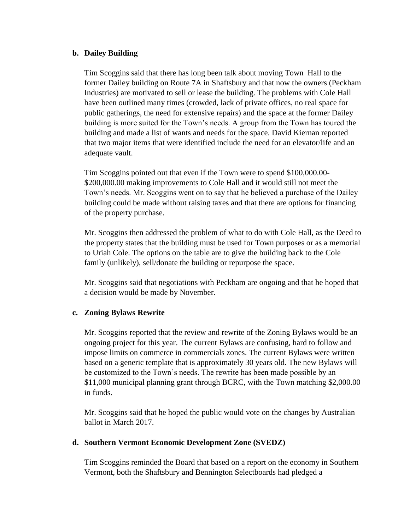#### **b. Dailey Building**

Tim Scoggins said that there has long been talk about moving Town Hall to the former Dailey building on Route 7A in Shaftsbury and that now the owners (Peckham Industries) are motivated to sell or lease the building. The problems with Cole Hall have been outlined many times (crowded, lack of private offices, no real space for public gatherings, the need for extensive repairs) and the space at the former Dailey building is more suited for the Town's needs. A group from the Town has toured the building and made a list of wants and needs for the space. David Kiernan reported that two major items that were identified include the need for an elevator/life and an adequate vault.

Tim Scoggins pointed out that even if the Town were to spend \$100,000.00- \$200,000.00 making improvements to Cole Hall and it would still not meet the Town's needs. Mr. Scoggins went on to say that he believed a purchase of the Dailey building could be made without raising taxes and that there are options for financing of the property purchase.

Mr. Scoggins then addressed the problem of what to do with Cole Hall, as the Deed to the property states that the building must be used for Town purposes or as a memorial to Uriah Cole. The options on the table are to give the building back to the Cole family (unlikely), sell/donate the building or repurpose the space.

Mr. Scoggins said that negotiations with Peckham are ongoing and that he hoped that a decision would be made by November.

## **c. Zoning Bylaws Rewrite**

Mr. Scoggins reported that the review and rewrite of the Zoning Bylaws would be an ongoing project for this year. The current Bylaws are confusing, hard to follow and impose limits on commerce in commercials zones. The current Bylaws were written based on a generic template that is approximately 30 years old. The new Bylaws will be customized to the Town's needs. The rewrite has been made possible by an \$11,000 municipal planning grant through BCRC, with the Town matching \$2,000.00 in funds.

Mr. Scoggins said that he hoped the public would vote on the changes by Australian ballot in March 2017.

#### **d. Southern Vermont Economic Development Zone (SVEDZ)**

Tim Scoggins reminded the Board that based on a report on the economy in Southern Vermont, both the Shaftsbury and Bennington Selectboards had pledged a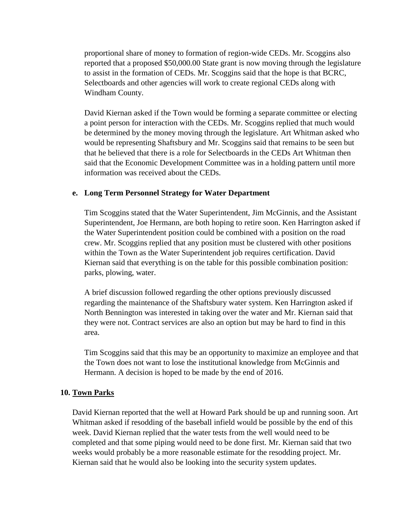proportional share of money to formation of region-wide CEDs. Mr. Scoggins also reported that a proposed \$50,000.00 State grant is now moving through the legislature to assist in the formation of CEDs. Mr. Scoggins said that the hope is that BCRC, Selectboards and other agencies will work to create regional CEDs along with Windham County.

David Kiernan asked if the Town would be forming a separate committee or electing a point person for interaction with the CEDs. Mr. Scoggins replied that much would be determined by the money moving through the legislature. Art Whitman asked who would be representing Shaftsbury and Mr. Scoggins said that remains to be seen but that he believed that there is a role for Selectboards in the CEDs Art Whitman then said that the Economic Development Committee was in a holding pattern until more information was received about the CEDs.

#### **e. Long Term Personnel Strategy for Water Department**

Tim Scoggins stated that the Water Superintendent, Jim McGinnis, and the Assistant Superintendent, Joe Hermann, are both hoping to retire soon. Ken Harrington asked if the Water Superintendent position could be combined with a position on the road crew. Mr. Scoggins replied that any position must be clustered with other positions within the Town as the Water Superintendent job requires certification. David Kiernan said that everything is on the table for this possible combination position: parks, plowing, water.

A brief discussion followed regarding the other options previously discussed regarding the maintenance of the Shaftsbury water system. Ken Harrington asked if North Bennington was interested in taking over the water and Mr. Kiernan said that they were not. Contract services are also an option but may be hard to find in this area.

Tim Scoggins said that this may be an opportunity to maximize an employee and that the Town does not want to lose the institutional knowledge from McGinnis and Hermann. A decision is hoped to be made by the end of 2016.

#### **10. Town Parks**

David Kiernan reported that the well at Howard Park should be up and running soon. Art Whitman asked if resodding of the baseball infield would be possible by the end of this week. David Kiernan replied that the water tests from the well would need to be completed and that some piping would need to be done first. Mr. Kiernan said that two weeks would probably be a more reasonable estimate for the resodding project. Mr. Kiernan said that he would also be looking into the security system updates.